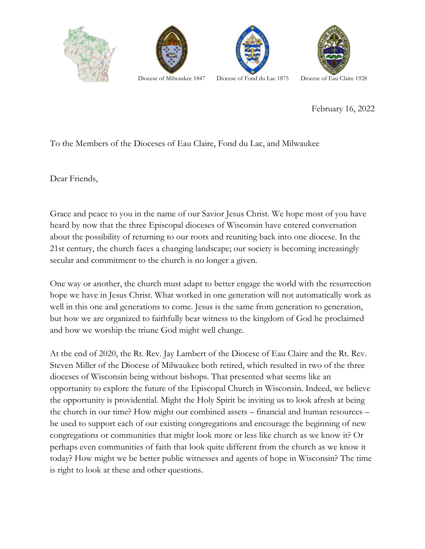





February 16, 2022

## To the Members of the Dioceses of Eau Claire, Fond du Lac, and Milwaukee

Dear Friends,

Grace and peace to you in the name of our Savior Jesus Christ. We hope most of you have heard by now that the three Episcopal dioceses of Wisconsin have entered conversation about the possibility of returning to our roots and reuniting back into one diocese. In the 21st century, the church faces a changing landscape; our society is becoming increasingly secular and commitment to the church is no longer a given.

One way or another, the church must adapt to better engage the world with the resurrection hope we have in Jesus Christ. What worked in one generation will not automatically work as well in this one and generations to come. Jesus is the same from generation to generation, but how we are organized to faithfully bear witness to the kingdom of God he proclaimed and how we worship the triune God might well change.

At the end of 2020, the Rt. Rev. Jay Lambert of the Diocese of Eau Claire and the Rt. Rev. Steven Miller of the Diocese of Milwaukee both retired, which resulted in two of the three dioceses of Wisconsin being without bishops. That presented what seems like an opportunity to explore the future of the Episcopal Church in Wisconsin. Indeed, we believe the opportunity is providential. Might the Holy Spirit be inviting us to look afresh at being the church in our time? How might our combined assets – financial and human resources – be used to support each of our existing congregations and encourage the beginning of new congregations or communities that might look more or less like church as we know it? Or perhaps even communities of faith that look quite different from the church as we know it today? How might we be better public witnesses and agents of hope in Wisconsin? The time is right to look at these and other questions.